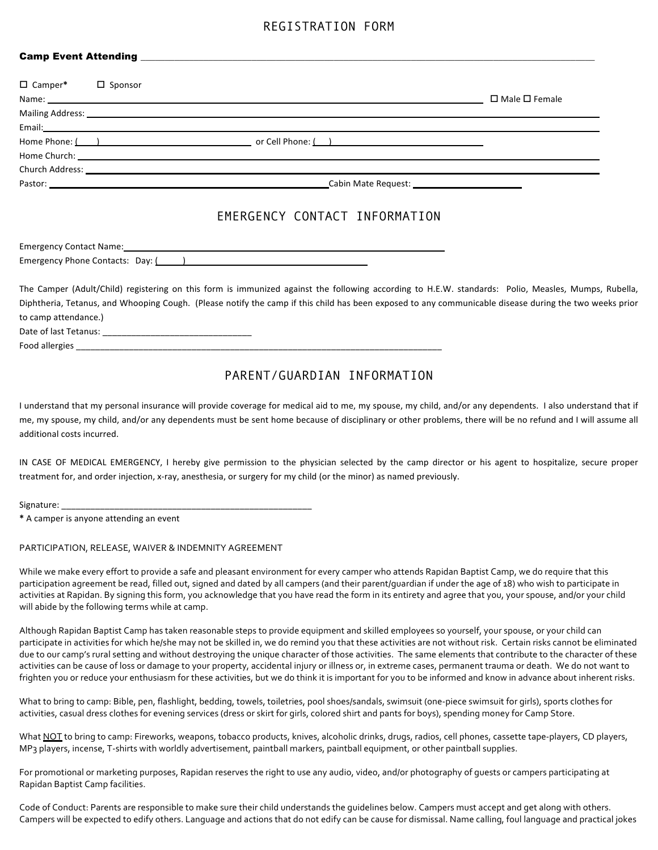### REGISTRATION FORM

#### Camp Event Attending \_\_\_

| $\Box$ Camper* | $\Box$ Sponsor |                                                                                                                                                                                                                                      |                           |
|----------------|----------------|--------------------------------------------------------------------------------------------------------------------------------------------------------------------------------------------------------------------------------------|---------------------------|
|                |                |                                                                                                                                                                                                                                      | $\Box$ Male $\Box$ Female |
|                |                | Mailing Address: <u>example and the contract of the contract of the contract of the contract of the contract of the contract of the contract of the contract of the contract of the contract of the contract of the contract of </u> |                           |
|                |                | Email: Email: Email: Email: Email: Email: Email: Email: Email: Email: Email: Email: Email: Email: Email: Email: Email: Email: Email: Email: Email: Email: Email: Email: Email: Email: Email: Email: Email: Email: Email: Email       |                           |
|                |                |                                                                                                                                                                                                                                      |                           |
|                |                |                                                                                                                                                                                                                                      |                           |
|                |                |                                                                                                                                                                                                                                      |                           |
|                |                |                                                                                                                                                                                                                                      |                           |

## EMERGENCY CONTACT INFORMATION

Emergency Contact Name: Emergency Phone Contacts: Day: ( )

The Camper (Adult/Child) registering on this form is immunized against the following according to H.E.W. standards: Polio, Measles, Mumps, Rubella, Diphtheria, Tetanus, and Whooping Cough. (Please notify the camp if this child has been exposed to any communicable disease during the two weeks prior to camp attendance.) Date of last Tetanus: \_\_\_\_\_\_\_\_\_\_\_\_\_\_\_\_\_\_\_\_\_\_\_\_\_\_\_\_\_\_\_

Food allergies \_\_\_\_

# PARENT/GUARDIAN INFORMATION

I understand that my personal insurance will provide coverage for medical aid to me, my spouse, my child, and/or any dependents. I also understand that if me, my spouse, my child, and/or any dependents must be sent home because of disciplinary or other problems, there will be no refund and I will assume all additional costs incurred.

IN CASE OF MEDICAL EMERGENCY, I hereby give permission to the physician selected by the camp director or his agent to hospitalize, secure proper treatment for, and order injection, x-ray, anesthesia, or surgery for my child (or the minor) as named previously.

Signature:

**\*** A camper is anyone attending an event

#### PARTICIPATION, RELEASE, WAIVER & INDEMNITY AGREEMENT

While we make every effort to provide a safe and pleasant environment for every camper who attends Rapidan Baptist Camp, we do require that this participation agreement be read, filled out, signed and dated by all campers (and their parent/guardian if under the age of 18) who wish to participate in activities at Rapidan. By signing this form, you acknowledge that you have read the form in its entirety and agree that you, your spouse, and/or your child will abide by the following terms while at camp.

Although Rapidan Baptist Camp has taken reasonable steps to provide equipment and skilled employees so yourself, your spouse, or your child can participate in activities for which he/she may not be skilled in, we do remind you that these activities are not without risk. Certain risks cannot be eliminated due to our camp's rural setting and without destroying the unique character of those activities. The same elements that contribute to the character of these activities can be cause of loss or damage to your property, accidental injury or illness or, in extreme cases, permanent trauma or death. We do not want to frighten you or reduce your enthusiasm for these activities, but we do think it is important for you to be informed and know in advance about inherent risks.

What to bring to camp: Bible, pen, flashlight, bedding, towels, toiletries, pool shoes/sandals, swimsuit (one-piece swimsuit for girls), sports clothes for activities, casual dress clothes for evening services (dress or skirt for girls, colored shirt and pants for boys), spending money for Camp Store.

What NOT to bring to camp: Fireworks, weapons, tobacco products, knives, alcoholic drinks, drugs, radios, cell phones, cassette tape-players, CD players, MP<sub>3</sub> players, incense, T-shirts with worldly advertisement, paintball markers, paintball equipment, or other paintball supplies.

For promotional or marketing purposes, Rapidan reserves the right to use any audio, video, and/or photography of quests or campers participating at Rapidan Baptist Camp facilities.

Code of Conduct: Parents are responsible to make sure their child understands the quidelines below. Campers must accept and get along with others. Campers will be expected to edify others. Language and actions that do not edify can be cause for dismissal. Name calling, foul language and practical jokes